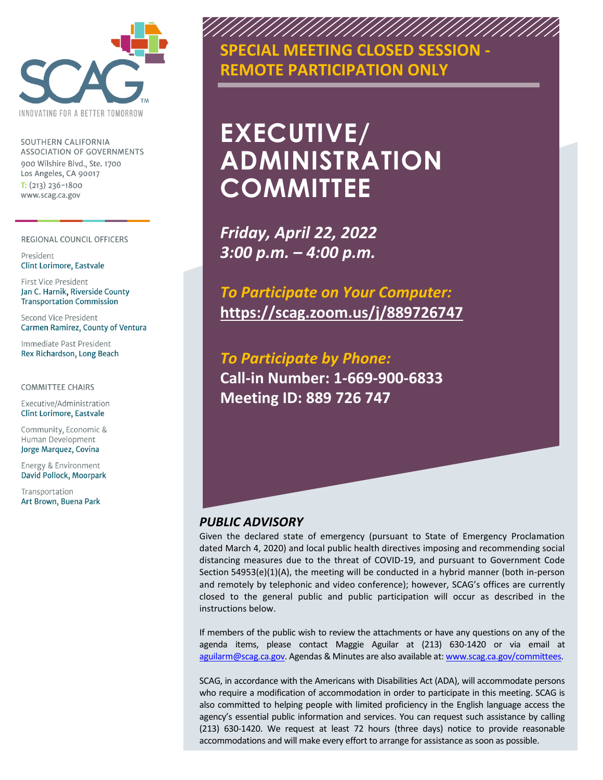

SOUTHERN CALIFORNIA **ASSOCIATION OF GOVERNMENTS** 900 Wilshire Blvd., Ste. 1700 Los Angeles, CA 90017  $T: (213)$  236-1800 www.scag.ca.gov

REGIONAL COUNCIL OFFICERS

President **Clint Lorimore, Eastvale** 

First Vice President Jan C. Harnik, Riverside County **Transportation Commission** 

Second Vice President **Carmen Ramirez, County of Ventura** 

Immediate Past President Rex Richardson, Long Beach

**COMMITTEE CHAIRS** 

Executive/Administration **Clint Lorimore, Eastvale** 

Community, Economic & Human Development Jorge Marquez, Covina

Energy & Environment David Pollock, Moorpark

Transportation Art Brown, Buena Park



# **EXECUTIVE/ ADMINISTRATION COMMITTEE**

*Friday, April 22, 2022 3:00 p.m. – 4:00 p.m.*

*To Participate on Your Computer:*  **<https://scag.zoom.us/j/889726747>**

*To Participate by Phone:* **Call-in Number: 1-669-900-6833 Meeting ID: 889 726 747**

#### *PUBLIC ADVISORY*

Given the declared state of emergency (pursuant to State of Emergency Proclamation dated March 4, 2020) and local public health directives imposing and recommending social distancing measures due to the threat of COVID-19, and pursuant to Government Code Section  $54953(e)(1)(A)$ , the meeting will be conducted in a hybrid manner (both in-person and remotely by telephonic and video conference); however, SCAG's offices are currently closed to the general public and public participation will occur as described in the instructions below.

If members of the public wish to review the attachments or have any questions on any of the agenda items, please contact Maggie Aguilar at (213) 630-1420 or via email at [aguilarm@scag.ca.gov.](mailto:aguilarm@scag.ca.gov) Agendas & Minutes are also available at: [www.scag.ca.gov/committees.](http://www.scag.ca.gov/committees)

SCAG, in accordance with the Americans with Disabilities Act (ADA), will accommodate persons who require a modification of accommodation in order to participate in this meeting. SCAG is also committed to helping people with limited proficiency in the English language access the agency's essential public information and services. You can request such assistance by calling (213) 630-1420. We request at least 72 hours (three days) notice to provide reasonable accommodations and will make every effort to arrange for assistance as soon as possible.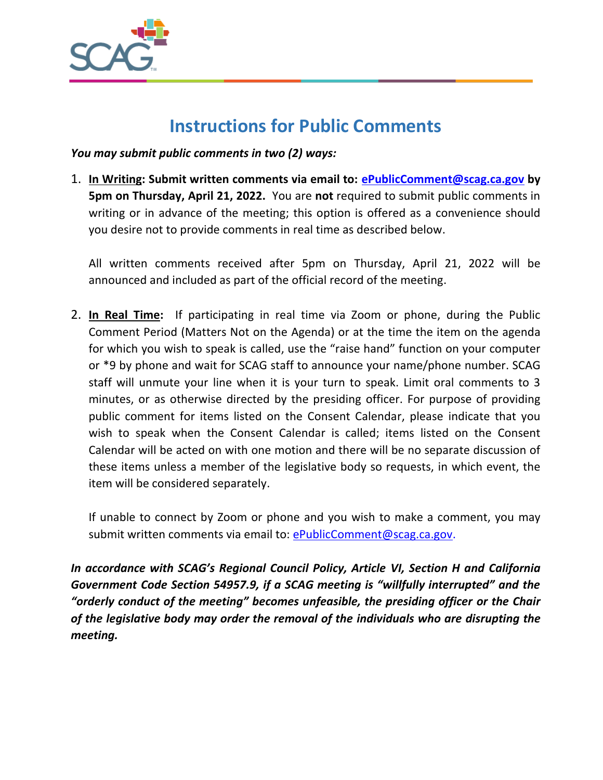

### **Instructions for Public Comments**

*You may submit public comments in two (2) ways:*

1. **In Writing: Submit written comments via email to: [ePublicComment@scag.ca.gov](mailto:ePublicComment@scag.ca.gov) by 5pm on Thursday, April 21, 2022.** You are **not** required to submit public comments in writing or in advance of the meeting; this option is offered as a convenience should you desire not to provide comments in real time as described below.

All written comments received after 5pm on Thursday, April 21, 2022 will be announced and included as part of the official record of the meeting.

2. **In Real Time:** If participating in real time via Zoom or phone, during the Public Comment Period (Matters Not on the Agenda) or at the time the item on the agenda for which you wish to speak is called, use the "raise hand" function on your computer or \*9 by phone and wait for SCAG staff to announce your name/phone number. SCAG staff will unmute your line when it is your turn to speak. Limit oral comments to 3 minutes, or as otherwise directed by the presiding officer. For purpose of providing public comment for items listed on the Consent Calendar, please indicate that you wish to speak when the Consent Calendar is called; items listed on the Consent Calendar will be acted on with one motion and there will be no separate discussion of these items unless a member of the legislative body so requests, in which event, the item will be considered separately.

If unable to connect by Zoom or phone and you wish to make a comment, you may submit written comments via email to: [ePublicComment@scag.ca.gov.](mailto:ePublicComment@scag.ca.gov)

*In accordance with SCAG's Regional Council Policy, Article VI, Section H and California Government Code Section 54957.9, if a SCAG meeting is "willfully interrupted" and the*  "orderly conduct of the meeting" becomes unfeasible, the presiding officer or the Chair *of the legislative body may order the removal of the individuals who are disrupting the meeting.*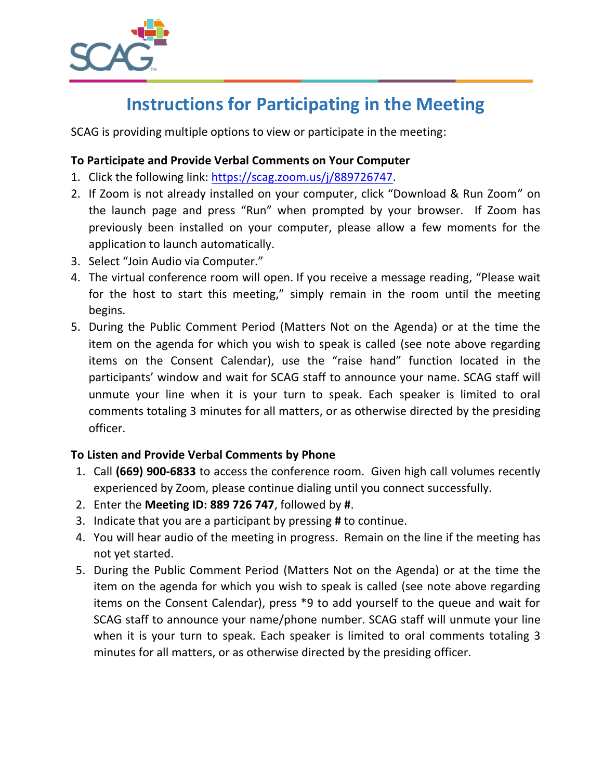

## **Instructions for Participating in the Meeting**

SCAG is providing multiple options to view or participate in the meeting:

#### **To Participate and Provide Verbal Comments on Your Computer**

- 1. Click the following link: [https://scag.zoom.us/j/889726747.](https://scag.zoom.us/j/889726747)
- 2. If Zoom is not already installed on your computer, click "Download & Run Zoom" on the launch page and press "Run" when prompted by your browser. If Zoom has previously been installed on your computer, please allow a few moments for the application to launch automatically.
- 3. Select "Join Audio via Computer."
- 4. The virtual conference room will open. If you receive a message reading, "Please wait for the host to start this meeting," simply remain in the room until the meeting begins.
- 5. During the Public Comment Period (Matters Not on the Agenda) or at the time the item on the agenda for which you wish to speak is called (see note above regarding items on the Consent Calendar), use the "raise hand" function located in the participants' window and wait for SCAG staff to announce your name. SCAG staff will unmute your line when it is your turn to speak. Each speaker is limited to oral comments totaling 3 minutes for all matters, or as otherwise directed by the presiding officer.

#### **To Listen and Provide Verbal Comments by Phone**

- 1. Call **(669) 900-6833** to access the conference room. Given high call volumes recently experienced by Zoom, please continue dialing until you connect successfully.
- 2. Enter the **Meeting ID: 889 726 747**, followed by **#**.
- 3. Indicate that you are a participant by pressing **#** to continue.
- 4. You will hear audio of the meeting in progress. Remain on the line if the meeting has not yet started.
- 5. During the Public Comment Period (Matters Not on the Agenda) or at the time the item on the agenda for which you wish to speak is called (see note above regarding items on the Consent Calendar), press \*9 to add yourself to the queue and wait for SCAG staff to announce your name/phone number. SCAG staff will unmute your line when it is your turn to speak. Each speaker is limited to oral comments totaling 3 minutes for all matters, or as otherwise directed by the presiding officer.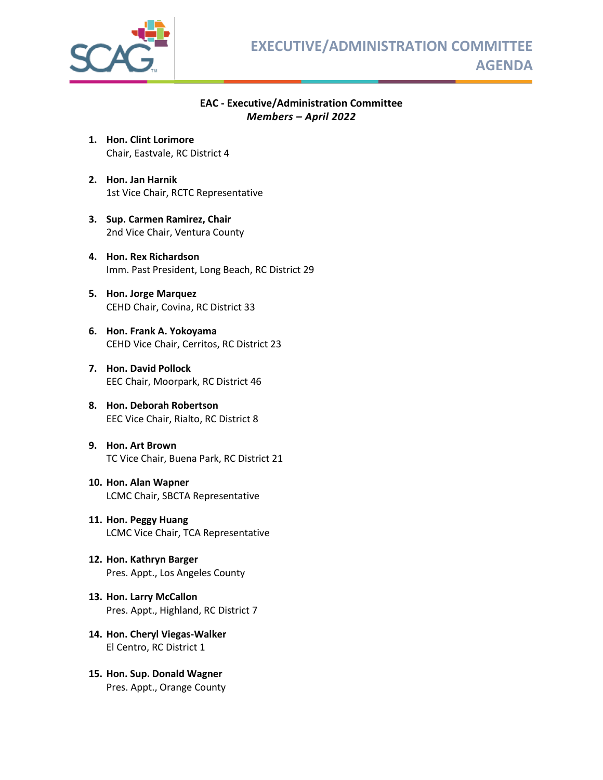

#### **EAC - Executive/Administration Committee** *Members – April 2022*

- **1. Hon. Clint Lorimore** Chair, Eastvale, RC District 4
- **2. Hon. Jan Harnik** 1st Vice Chair, RCTC Representative
- **3. Sup. Carmen Ramirez, Chair** 2nd Vice Chair, Ventura County
- **4. Hon. Rex Richardson** Imm. Past President, Long Beach, RC District 29
- **5. Hon. Jorge Marquez** CEHD Chair, Covina, RC District 33
- **6. Hon. Frank A. Yokoyama**  CEHD Vice Chair, Cerritos, RC District 23
- **7. Hon. David Pollock** EEC Chair, Moorpark, RC District 46
- **8. Hon. Deborah Robertson**  EEC Vice Chair, Rialto, RC District 8
- **9. Hon. Art Brown**  TC Vice Chair, Buena Park, RC District 21
- **10. Hon. Alan Wapner**  LCMC Chair, SBCTA Representative
- **11. Hon. Peggy Huang** LCMC Vice Chair, TCA Representative
- **12. Hon. Kathryn Barger**  Pres. Appt., Los Angeles County
- **13. Hon. Larry McCallon**  Pres. Appt., Highland, RC District 7
- **14. Hon. Cheryl Viegas-Walker** El Centro, RC District 1
- **15. Hon. Sup. Donald Wagner**  Pres. Appt., Orange County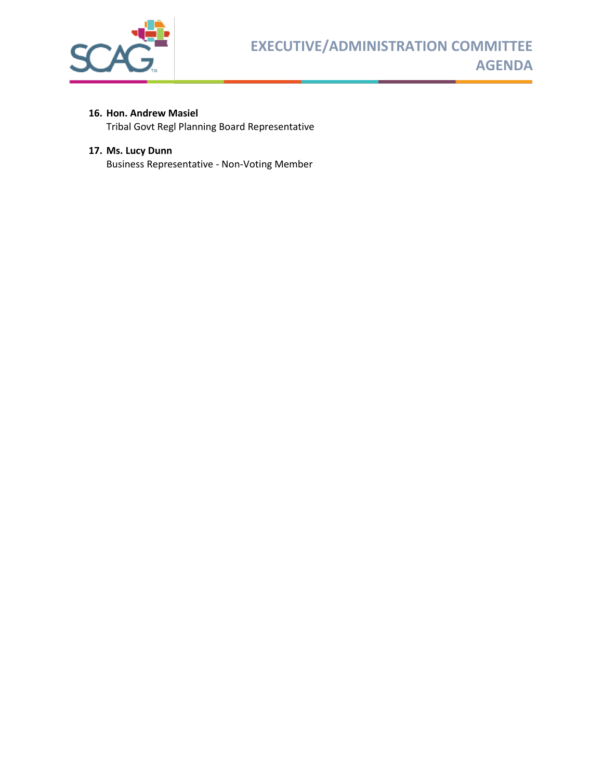

#### **16. Hon. Andrew Masiel**

Tribal Govt Regl Planning Board Representative

#### **17. Ms. Lucy Dunn**

Business Representative - Non-Voting Member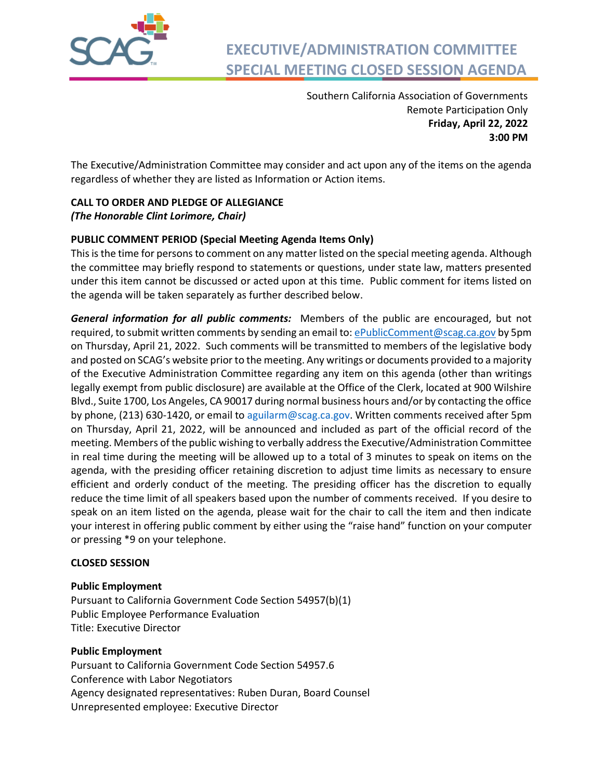

### **EXECUTIVE/ADMINISTRATION COMMITTEE SPECIAL MEETING CLOSED SESSION AGENDA**

Southern California Association of Governments Remote Participation Only **Friday, April 22, 2022 3:00 PM** 

The Executive/Administration Committee may consider and act upon any of the items on the agenda regardless of whether they are listed as Information or Action items.

#### **CALL TO ORDER AND PLEDGE OF ALLEGIANCE** *(The Honorable Clint Lorimore, Chair)*

#### **PUBLIC COMMENT PERIOD (Special Meeting Agenda Items Only)**

This is the time for persons to comment on any matter listed on the special meeting agenda. Although the committee may briefly respond to statements or questions, under state law, matters presented under this item cannot be discussed or acted upon at this time. Public comment for items listed on the agenda will be taken separately as further described below.

*General information for all public comments:* Members of the public are encouraged, but not required, to submit written comments by sending an email to: [ePublicComment@scag.ca.gov](mailto:ePublicComment@scag.ca.gov) by 5pm on Thursday, April 21, 2022. Such comments will be transmitted to members of the legislative body and posted on SCAG's website prior to the meeting. Any writings or documents provided to a majority of the Executive Administration Committee regarding any item on this agenda (other than writings legally exempt from public disclosure) are available at the Office of the Clerk, located at 900 Wilshire Blvd., Suite 1700, Los Angeles, CA 90017 during normal business hours and/or by contacting the office by phone, (213) 630-1420, or email to [aguilarm@scag.ca.gov.](mailto:aguilarm@scag.ca.gov) Written comments received after 5pm on Thursday, April 21, 2022, will be announced and included as part of the official record of the meeting. Members of the public wishing to verbally address the Executive/Administration Committee in real time during the meeting will be allowed up to a total of 3 minutes to speak on items on the agenda, with the presiding officer retaining discretion to adjust time limits as necessary to ensure efficient and orderly conduct of the meeting. The presiding officer has the discretion to equally reduce the time limit of all speakers based upon the number of comments received. If you desire to speak on an item listed on the agenda, please wait for the chair to call the item and then indicate your interest in offering public comment by either using the "raise hand" function on your computer or pressing \*9 on your telephone.

#### **CLOSED SESSION**

#### **Public Employment**

Pursuant to California Government Code Section 54957(b)(1) Public Employee Performance Evaluation Title: Executive Director

#### **Public Employment**

Pursuant to California Government Code Section 54957.6 Conference with Labor Negotiators Agency designated representatives: Ruben Duran, Board Counsel Unrepresented employee: Executive Director